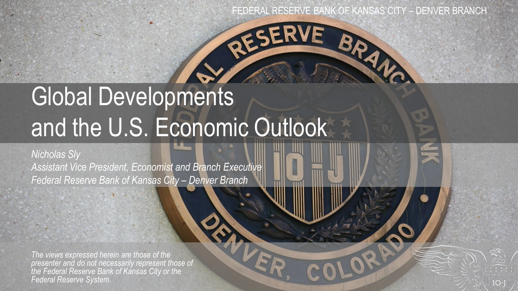RESERVE

# Global Developments and the U.S. Economic Outlook

#### *Nicholas Sly*

*Assistant Vice President, Economist and Branch Executive Federal Reserve Bank of Kansas City – Denver Branch*

*The views expressed herein are those of the presenter and do not necessarily represent those of the Federal Reserve Bank of Kansas City or the Federal Reserve System.*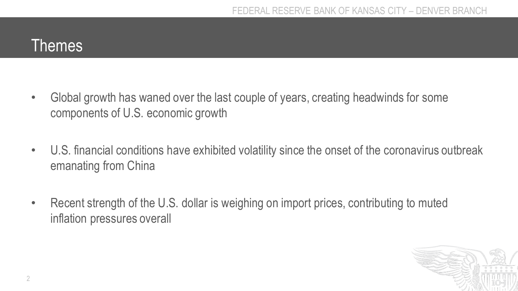#### Themes

- Global growth has waned over the last couple of years, creating headwinds for some components of U.S. economic growth
- U.S. financial conditions have exhibited volatility since the onset of the coronavirus outbreak emanating from China
- Recent strength of the U.S. dollar is weighing on import prices, contributing to muted inflation pressures overall

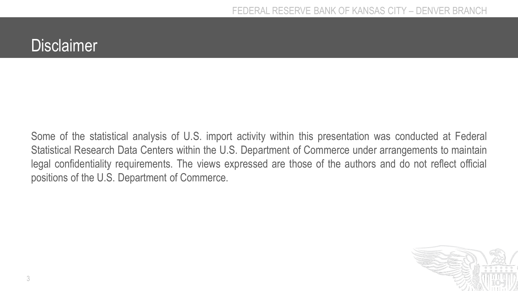### **Disclaimer**

Some of the statistical analysis of U.S. import activity within this presentation was conducted at Federal Statistical Research Data Centers within the U.S. Department of Commerce under arrangements to maintain legal confidentiality requirements. The views expressed are those of the authors and do not reflect official positions of the U.S. Department of Commerce.

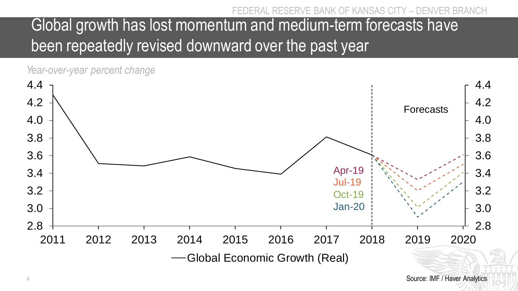# Global growth has lost momentum and medium-term forecasts have been repeatedly revised downward over the past year

*Year-over-year percent change*

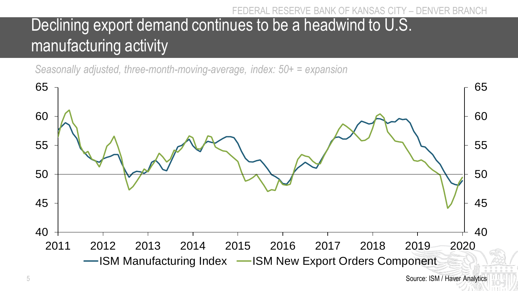# Declining export demand continues to be a headwind to U.S. manufacturing activity

*Seasonally adjusted, three-month-moving-average, index: 50+ = expansion*

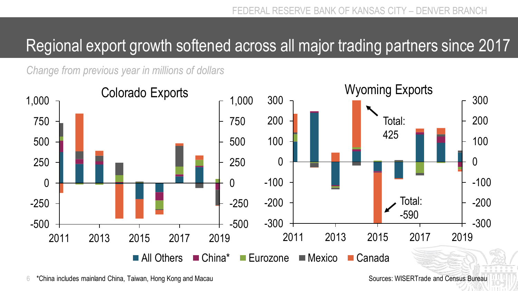### Regional export growth softened across all major trading partners since 2017

*Change from previous year in millions of dollars*

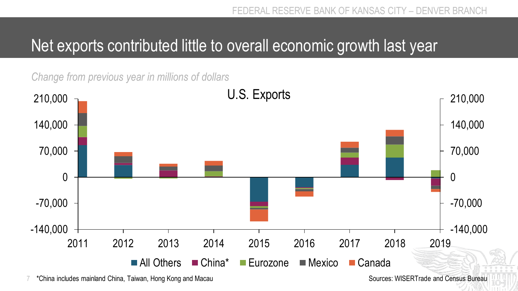### Net exports contributed little to overall economic growth last year

*Change from previous year in millions of dollars*



7 Sources: WISERTrade and Census Bureau \*China includes mainland China, Taiwan, Hong Kong and Macau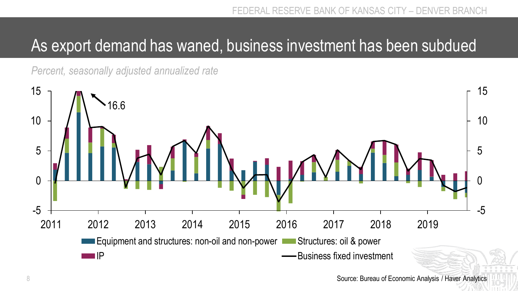### As export demand has waned, business investment has been subdued

*Percent, seasonally adjusted annualized rate*



8 Source: Bureau of Economic Analysis / Haver Analytics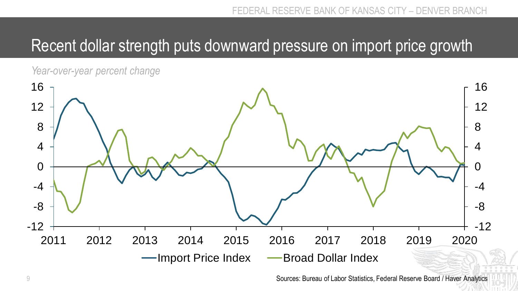### Recent dollar strength puts downward pressure on import price growth



9 Sources: Bureau of Labor Statistics, Federal Reserve Board / Haver Analytics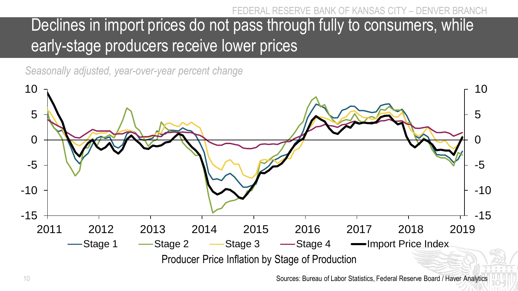# Declines in import prices do not pass through fully to consumers, while early-stage producers receive lower prices

*Seasonally adjusted, year-over-year percent change*

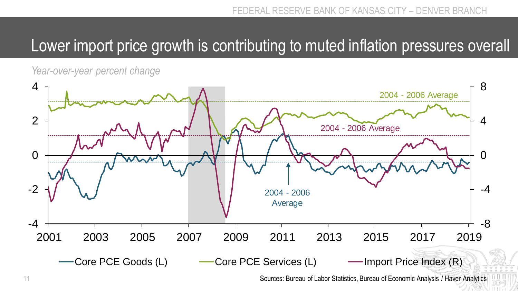### Lower import price growth is contributing to muted inflation pressures overall

*Year-over-year percent change*



11 Sources: Bureau of Labor Statistics, Bureau of Economic Analysis / Haver Analytics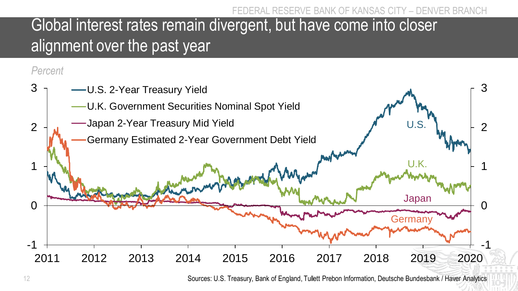## Global interest rates remain divergent, but have come into closer alignment over the past year

#### *Percent*



<sup>12</sup> Sources: U.S. Treasury, Bank of England, Tullett Prebon Information, Deutsche Bundesbank / Haver Analytics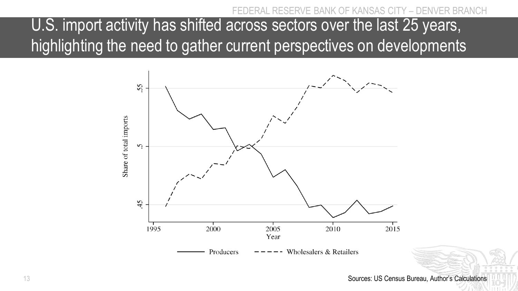FRVE BANK OF KANSAS

U.S. import activity has shifted across sectors over the last 25 years, highlighting the need to gather current perspectives on developments



13 Sources: US Census Bureau, Author's Calculations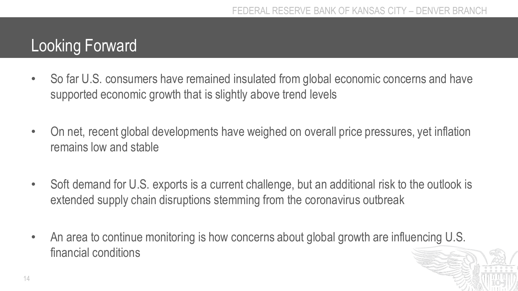### Looking Forward

- So far U.S. consumers have remained insulated from global economic concerns and have supported economic growth that is slightly above trend levels
- On net, recent global developments have weighed on overall price pressures, yet inflation remains low and stable
- Soft demand for U.S. exports is a current challenge, but an additional risk to the outlook is extended supply chain disruptions stemming from the coronavirus outbreak
- An area to continue monitoring is how concerns about global growth are influencing U.S. financial conditions